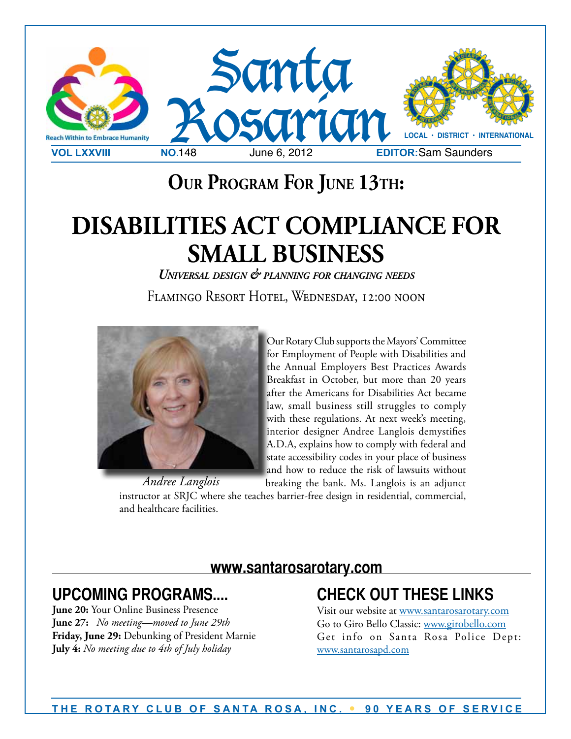

# **Our Program For June 13th:**

# **DISABILITIES ACT COMPLIANCE FOR SMALL BUSINESS**

*Universal design & planning for changing needs* Flamingo Resort Hotel, Wednesday, 12:00 noon



Our Rotary Club supports the Mayors' Committee for Employment of People with Disabilities and the Annual Employers Best Practices Awards Breakfast in October, but more than 20 years after the Americans for Disabilities Act became law, small business still struggles to comply with these regulations. At next week's meeting, interior designer Andree Langlois demystifies A.D.A, explains how to comply with federal and state accessibility codes in your place of business and how to reduce the risk of lawsuits without

breaking the bank. Ms. Langlois is an adjunct instructor at SRJC where she teaches barrier-free design in residential, commercial, and healthcare facilities. *Andree Langlois*

#### **www.santarosarotary.com**

#### **UPCOMING PROGRAMS....**

**June 20:** Your Online Business Presence **June 27:** *No meeting—moved to June 29th*  **Friday, June 29:** Debunking of President Marnie **July 4:** *No meeting due to 4th of July holiday*

#### **CHECK OUT THESE LINKS**

Visit our website at www.santarosarotary.com Go to Giro Bello Classic: www.girobello.com Get info on Santa Rosa Police Dept: www.santarosapd.com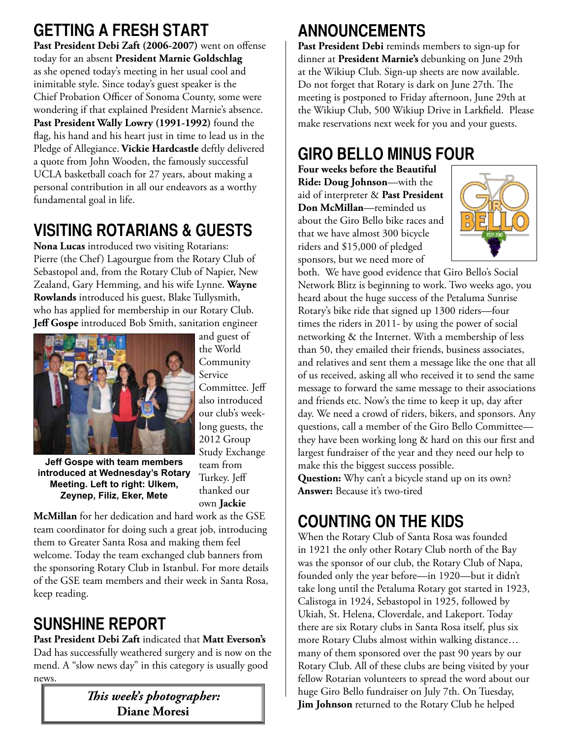#### **GETTING A FRESH START**

Past President Debi Zaft (2006-2007) went on offense today for an absent **President Marnie Goldschlag** as she opened today's meeting in her usual cool and inimitable style. Since today's guest speaker is the Chief Probation Officer of Sonoma County, some were wondering if that explained President Marnie's absence. **Past President Wally Lowry (1991-1992)** found the flag, his hand and his heart just in time to lead us in the Pledge of Allegiance. **Vickie Hardcastle** deftly delivered a quote from John Wooden, the famously successful UCLA basketball coach for 27 years, about making a personal contribution in all our endeavors as a worthy fundamental goal in life.

#### **VISITING ROTARIANS & GUESTS**

**Nona Lucas** introduced two visiting Rotarians: Pierre (the Chef) Lagourgue from the Rotary Club of Sebastopol and, from the Rotary Club of Napier, New Zealand, Gary Hemming, and his wife Lynne. **Wayne Rowlands** introduced his guest, Blake Tullysmith, who has applied for membership in our Rotary Club. **Jeff Gospe** introduced Bob Smith, sanitation engineer



and guest of the World Community Service Committee. Jeff also introduced our club's weeklong guests, the 2012 Group Study Exchange team from Turkey. Jeff thanked our own **Jackie** 

**Jeff Gospe with team members introduced at Wednesday's Rotary Meeting. Left to right: Ulkem, Zeynep, Filiz, Eker, Mete**

**McMillan** for her dedication and hard work as the GSE team coordinator for doing such a great job, introducing them to Greater Santa Rosa and making them feel welcome. Today the team exchanged club banners from the sponsoring Rotary Club in Istanbul. For more details of the GSE team members and their week in Santa Rosa, keep reading.

# **SUNSHINE REPORT**

**Past President Debi Zaft** indicated that **Matt Everson's**  Dad has successfully weathered surgery and is now on the mend. A "slow news day" in this category is usually good news.

> *This week's photographer:* **Diane Moresi**

# **ANNOUNCEMENTS**

Past President Debi reminds members to sign-up for dinner at **President Marnie's** debunking on June 29th at the Wikiup Club. Sign-up sheets are now available. Do not forget that Rotary is dark on June 27th. The meeting is postponed to Friday afternoon, June 29th at the Wikiup Club, 500 Wikiup Drive in Larkfield. Please make reservations next week for you and your guests.

## **GIRO BELLO MINUS FOUR**

**Four weeks before the Beautiful Ride: Doug Johnson**—with the aid of interpreter & **Past President Don McMillan**—reminded us about the Giro Bello bike races and that we have almost 300 bicycle riders and \$15,000 of pledged sponsors, but we need more of



both. We have good evidence that Giro Bello's Social Network Blitz is beginning to work. Two weeks ago, you heard about the huge success of the Petaluma Sunrise Rotary's bike ride that signed up 1300 riders—four times the riders in 2011- by using the power of social networking & the Internet. With a membership of less than 50, they emailed their friends, business associates, and relatives and sent them a message like the one that all of us received, asking all who received it to send the same message to forward the same message to their associations and friends etc. Now's the time to keep it up, day after day. We need a crowd of riders, bikers, and sponsors. Any questions, call a member of the Giro Bello Committee they have been working long & hard on this our first and largest fundraiser of the year and they need our help to make this the biggest success possible.

**Question:** Why can't a bicycle stand up on its own? **Answer:** Because it's two-tired

# **COUNTING ON THE KIDS**

When the Rotary Club of Santa Rosa was founded in 1921 the only other Rotary Club north of the Bay was the sponsor of our club, the Rotary Club of Napa, founded only the year before—in 1920—but it didn't take long until the Petaluma Rotary got started in 1923, Calistoga in 1924, Sebastopol in 1925, followed by Ukiah, St. Helena, Cloverdale, and Lakeport. Today there are six Rotary clubs in Santa Rosa itself, plus six more Rotary Clubs almost within walking distance… many of them sponsored over the past 90 years by our Rotary Club. All of these clubs are being visited by your fellow Rotarian volunteers to spread the word about our huge Giro Bello fundraiser on July 7th. On Tuesday, **Jim Johnson** returned to the Rotary Club he helped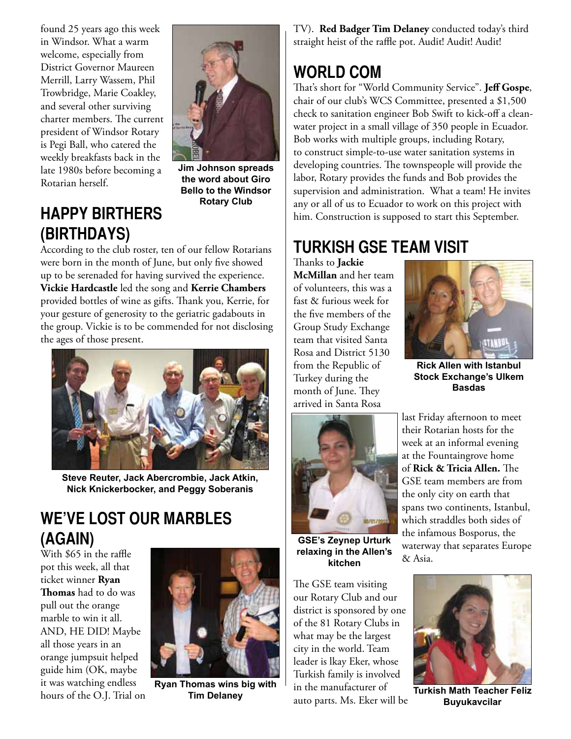found 25 years ago this week in Windsor. What a warm welcome, especially from District Governor Maureen Merrill, Larry Wassem, Phil Trowbridge, Marie Coakley, and several other surviving charter members. The current president of Windsor Rotary is Pegi Ball, who catered the weekly breakfasts back in the late 1980s before becoming a Rotarian herself.



**Jim Johnson spreads the word about Giro Bello to the Windsor Rotary Club**

#### **HAPPY BIRTHERS (BIRTHDAYS)**

#### According to the club roster, ten of our fellow Rotarians were born in the month of June, but only five showed up to be serenaded for having survived the experience. **Vickie Hardcastle** led the song and **Kerrie Chambers**

provided bottles of wine as gifts. Thank you, Kerrie, for your gesture of generosity to the geriatric gadabouts in the group. Vickie is to be commended for not disclosing the ages of those present.



**Steve Reuter, Jack Abercrombie, Jack Atkin, Nick Knickerbocker, and Peggy Soberanis**

#### **WE'VE LOST OUR MARBLES (AGAIN)**

With \$65 in the raffle pot this week, all that ticket winner **Ryan Thomas** had to do was pull out the orange marble to win it all. AND, HE DID! Maybe all those years in an orange jumpsuit helped guide him (OK, maybe it was watching endless hours of the O.J. Trial on



**Ryan Thomas wins big with**

TV). **Red Badger Tim Delaney** conducted today's third straight heist of the raffle pot. Audit! Audit! Audit!

#### **WORLD COM**

That's short for "World Community Service". **Jeff Gospe**, chair of our club's WCS Committee, presented a \$1,500 check to sanitation engineer Bob Swift to kick-off a cleanwater project in a small village of 350 people in Ecuador. Bob works with multiple groups, including Rotary, to construct simple-to-use water sanitation systems in developing countries. The townspeople will provide the labor, Rotary provides the funds and Bob provides the supervision and administration. What a team! He invites any or all of us to Ecuador to work on this project with him. Construction is supposed to start this September.

#### **TURKISH GSE TEAM VISIT**

Thanks to **Jackie McMillan** and her team of volunteers, this was a fast & furious week for the five members of the Group Study Exchange team that visited Santa Rosa and District 5130 from the Republic of Turkey during the month of June. They arrived in Santa Rosa



**Rick Allen with Istanbul Stock Exchange's Ulkem Basdas**



**GSE's Zeynep Urturk relaxing in the Allen's kitchen**

The GSE team visiting our Rotary Club and our district is sponsored by one of the 81 Rotary Clubs in what may be the largest city in the world. Team leader is lkay Eker, whose Turkish family is involved in the manufacturer of auto parts. Ms. Eker will be

last Friday afternoon to meet their Rotarian hosts for the week at an informal evening at the Fountaingrove home of **Rick & Tricia Allen.** The GSE team members are from the only city on earth that spans two continents, Istanbul, which straddles both sides of the infamous Bosporus, the waterway that separates Europe & Asia.



**Tim Delaney Turkish Math Teacher Feliz Buyukavcilar**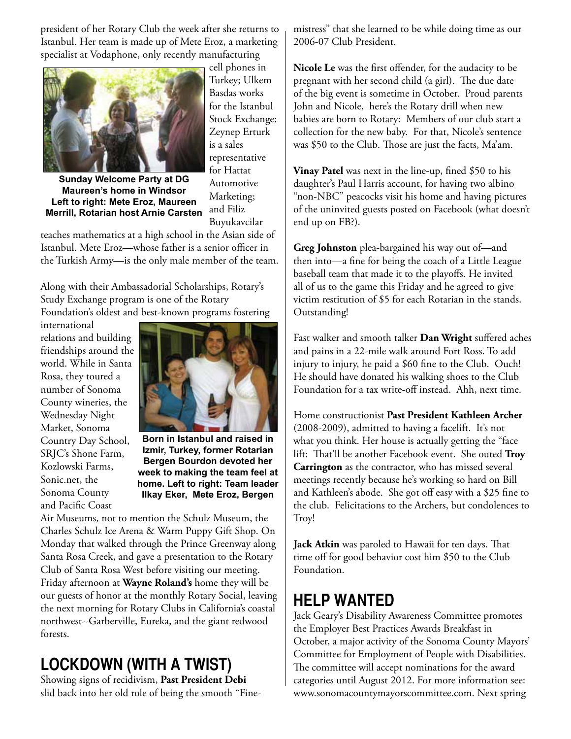president of her Rotary Club the week after she returns to Istanbul. Her team is made up of Mete Eroz, a marketing specialist at Vodaphone, only recently manufacturing



**Sunday Welcome Party at DG Maureen's home in Windsor Left to right: Mete Eroz, Maureen Merrill, Rotarian host Arnie Carsten**

cell phones in Turkey; Ulkem Basdas works for the Istanbul Stock Exchange; Zeynep Erturk is a sales representative for Hattat Automotive Marketing; and Filiz Buyukavcilar

teaches mathematics at a high school in the Asian side of Istanbul. Mete Eroz—whose father is a senior officer in the Turkish Army—is the only male member of the team.

Along with their Ambassadorial Scholarships, Rotary's Study Exchange program is one of the Rotary Foundation's oldest and best-known programs fostering

international relations and building friendships around the world. While in Santa Rosa, they toured a number of Sonoma County wineries, the Wednesday Night Market, Sonoma Country Day School, SRJC's Shone Farm, Kozlowski Farms, Sonic.net, the Sonoma County and Pacific Coast



**Born in Istanbul and raised in Izmir, Turkey, former Rotarian Bergen Bourdon devoted her week to making the team feel at home. Left to right: Team leader Ilkay Eker, Mete Eroz, Bergen**

Air Museums, not to mention the Schulz Museum, the Charles Schulz Ice Arena & Warm Puppy Gift Shop. On Monday that walked through the Prince Greenway along Santa Rosa Creek, and gave a presentation to the Rotary Club of Santa Rosa West before visiting our meeting. Friday afternoon at **Wayne Roland's** home they will be our guests of honor at the monthly Rotary Social, leaving the next morning for Rotary Clubs in California's coastal northwest--Garberville, Eureka, and the giant redwood forests.

# **LOCKDOWN (WITH A TWIST)**

Showing signs of recidivism, **Past President Debi**  slid back into her old role of being the smooth "Finemistress" that she learned to be while doing time as our 2006-07 Club President.

**Nicole Le** was the first offender, for the audacity to be pregnant with her second child (a girl). The due date of the big event is sometime in October. Proud parents John and Nicole, here's the Rotary drill when new babies are born to Rotary: Members of our club start a collection for the new baby. For that, Nicole's sentence was \$50 to the Club. Those are just the facts, Ma'am.

**Vinay Patel** was next in the line-up, fined \$50 to his daughter's Paul Harris account, for having two albino "non-NBC" peacocks visit his home and having pictures of the uninvited guests posted on Facebook (what doesn't end up on FB?).

**Greg Johnston** plea-bargained his way out of—and then into—a fine for being the coach of a Little League baseball team that made it to the playoffs. He invited all of us to the game this Friday and he agreed to give victim restitution of \$5 for each Rotarian in the stands. Outstanding!

Fast walker and smooth talker **Dan Wright** suffered aches and pains in a 22-mile walk around Fort Ross. To add injury to injury, he paid a \$60 fine to the Club. Ouch! He should have donated his walking shoes to the Club Foundation for a tax write-off instead. Ahh, next time.

Home constructionist **Past President Kathleen Archer**  (2008-2009), admitted to having a facelift. It's not what you think. Her house is actually getting the "face lift: That'll be another Facebook event. She outed **Troy Carrington** as the contractor, who has missed several meetings recently because he's working so hard on Bill and Kathleen's abode. She got off easy with a \$25 fine to the club. Felicitations to the Archers, but condolences to Troy!

**Jack Atkin** was paroled to Hawaii for ten days. That time off for good behavior cost him \$50 to the Club Foundation.

#### **HELP WANTED**

Jack Geary's Disability Awareness Committee promotes the Employer Best Practices Awards Breakfast in October, a major activity of the Sonoma County Mayors' Committee for Employment of People with Disabilities. The committee will accept nominations for the award categories until August 2012. For more information see: www.sonomacountymayorscommittee.com. Next spring